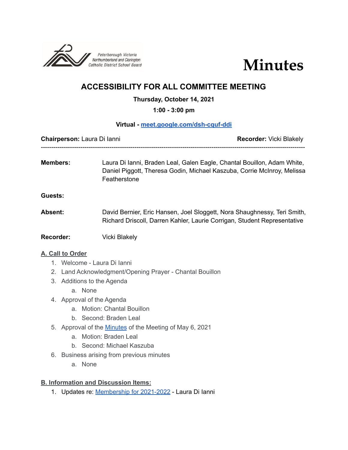



# **ACCESSIBILITY FOR ALL COMMITTEE MEETING**

**Thursday, October 14, 2021**

**1:00 - 3:00 pm**

## **Virtual - [meet.google.com/dsh-cquf-ddi](http://meet.google.com/dsh-cquf-ddi)**

**Chairperson:** Laura Di Ianni **Recorder:** Vicki Blakely -------------------------------------------------------------------------------------------------------------------------------

**Members:** Laura Di Ianni, Braden Leal, Galen Eagle, Chantal Bouillon, Adam White, Daniel Piggott, Theresa Godin, Michael Kaszuba, Corrie McInroy, Melissa Featherstone

**Guests:**

**Absent:** David Bernier, Eric Hansen, Joel Sloggett, Nora Shaughnessy, Teri Smith, Richard Driscoll, Darren Kahler, Laurie Corrigan, Student Representative

**Recorder:** Vicki Blakely

## **A. Call to Order**

- 1. Welcome Laura Di Ianni
- 2. Land Acknowledgment/Opening Prayer Chantal Bouillon
- 3. Additions to the Agenda
	- a. None
- 4. Approval of the Agenda
	- a. Motion: Chantal Bouillon
	- b. Second: Braden Leal
- 5. Approval of the [Minutes](https://docs.google.com/document/d/1Xvr0ijR0x8bAFiIWZQVFNuzOkKiEEy00HNDGIE88c0g/edit?usp=sharing) of the Meeting of May 6, 2021
	- a. Motion: Braden Leal
	- b. Second: Michael Kaszuba
- 6. Business arising from previous minutes
	- a. None

## **B. Information and Discussion Items:**

1. Updates re: [Membership](https://docs.google.com/document/d/1XpXBZTBS_TDSWppIvSBPstbtuHv7kX0qSOMztzWAmNE/edit?usp=sharing) for 2021-2022 - Laura Di Ianni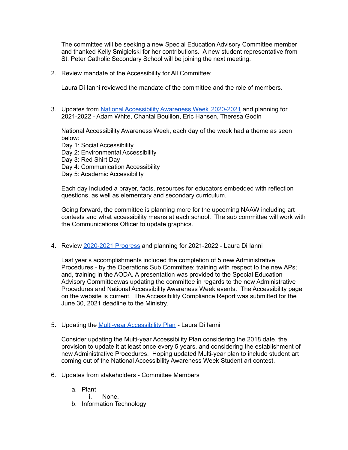The committee will be seeking a new Special Education Advisory Committee member and thanked Kelly Smigielski for her contributions. A new student representative from St. Peter Catholic Secondary School will be joining the next meeting.

2. Review mandate of the Accessibility for All Committee:

Laura Di Ianni reviewed the mandate of the committee and the role of members.

3. Updates from National [Accessibility](https://docs.google.com/document/d/1Jv_P2Sl9_adkAkES52I_hDhdOn1Z6VoVfy4BsKAtvZo/edit?usp=sharing) Awareness Week 2020-2021 and planning for 2021-2022 - Adam White, Chantal Bouillon, Eric Hansen, Theresa Godin

National Accessibility Awareness Week, each day of the week had a theme as seen below:

- Day 1: Social Accessibility
- Day 2: Environmental Accessibility
- Day 3: Red Shirt Day
- Day 4: Communication Accessibility
- Day 5: Academic Accessibility

Each day included a prayer, facts, resources for educators embedded with reflection questions, as well as elementary and secondary curriculum.

Going forward, the committee is planning more for the upcoming NAAW including art contests and what accessibility means at each school. The sub committee will work with the Communications Officer to update graphics.

4. Review [2020-2021](https://docs.google.com/document/d/1ndIgbh-uX2zGePuk9aselydQGoPpZ3Z8C8yFp7p5PUE/edit?usp=sharing) Progress and planning for 2021-2022 - Laura Di Ianni

Last year's accomplishments included the completion of 5 new Administrative Procedures - by the Operations Sub Committee; training with respect to the new APs; and, training in the AODA. A presentation was provided to the Special Education Advisory Committeewas updating the committee in regards to the new Administrative Procedures and National Accessibility Awareness Week events. The Accessibility page on the website is current. The Accessibility Compliance Report was submitted for the June 30, 2021 deadline to the Ministry.

5. Updating the Multi-year [Accessibility](https://drive.google.com/file/d/15OcvNI__XiKiwgnVH7EkeHzk1zen8kiR/view) Plan - Laura Di Ianni

Consider updating the Multi-year Accessibility Plan considering the 2018 date, the provision to update it at least once every 5 years, and considering the establishment of new Administrative Procedures. Hoping updated Multi-year plan to include student art coming out of the National Accessibility Awareness Week Student art contest.

- 6. Updates from stakeholders Committee Members
	- a. Plant
		- i. None.
	- b. Information Technology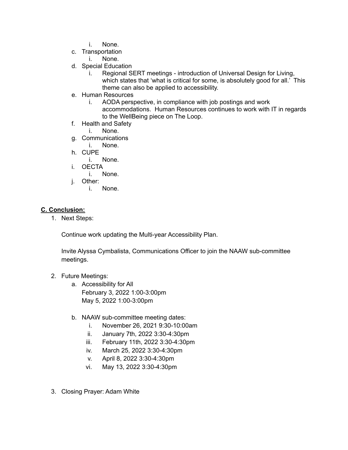- i. None.
- c. Transportation
	- i. None.
- d. Special Education
	- i. Regional SERT meetings introduction of Universal Design for Living, which states that 'what is critical for some, is absolutely good for all.' This theme can also be applied to accessibility.
- e. Human Resources
	- i. AODA perspective, in compliance with job postings and work accommodations. Human Resources continues to work with IT in regards to the WellBeing piece on The Loop.
- f. Health and Safety
	- i. None.
- g. Communications
	- i. None.
- h. CUPE
	- i. None.
- i. OECTA
	- i. None.
- j. Other:
	- i. None.

#### **C. Conclusion:**

1. Next Steps:

Continue work updating the Multi-year Accessibility Plan.

Invite Alyssa Cymbalista, Communications Officer to join the NAAW sub-committee meetings.

#### 2. Future Meetings:

- a. Accessibility for All February 3, 2022 1:00-3:00pm May 5, 2022 1:00-3:00pm
- b. NAAW sub-committee meeting dates:
	- i. November 26, 2021 9:30-10:00am
	- ii. January 7th, 2022 3:30-4:30pm
	- iii. February 11th, 2022 3:30-4:30pm
	- iv. March 25, 2022 3:30-4:30pm
	- v. April 8, 2022 3:30-4:30pm
	- vi. May 13, 2022 3:30-4:30pm
- 3. Closing Prayer: Adam White